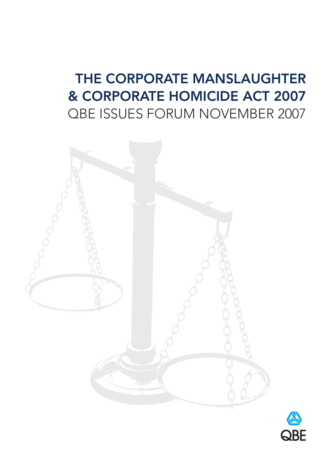# **THE CORPORATE MANSLAUGHTER & CORPORATE HOMICIDE ACT 2007** QBE ISSUES FORUM NOVEMBER 2007



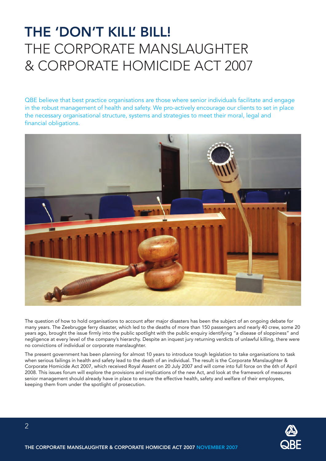# **THE 'DON'T KILL' BILL!** THE CORPORATE MANSLAUGHTER & CORPORATE HOMICIDE ACT 2007

QBE believe that best practice organisations are those where senior individuals facilitate and engage in the robust management of health and safety. We pro-actively encourage our clients to set in place the necessary organisational structure, systems and strategies to meet their moral, legal and financial obligations.



The question of how to hold organisations to account after major disasters has been the subject of an ongoing debate for many years. The Zeebrugge ferry disaster, which led to the deaths of more than 150 passengers and nearly 40 crew, some 20 years ago, brought the issue firmly into the public spotlight with the public enquiry identifying "a disease of sloppiness" and negligence at every level of the company's hierarchy. Despite an inquest jury returning verdicts of unlawful killing, there were no convictions of individual or corporate manslaughter.

The present government has been planning for almost 10 years to introduce tough legislation to take organisations to task when serious failings in health and safety lead to the death of an individual. The result is the Corporate Manslaughter & Corporate Homicide Act 2007, which received Royal Assent on 20 July 2007 and will come into full force on the 6th of April 2008. This issues forum will explore the provisions and implications of the new Act, and look at the framework of measures senior management should already have in place to ensure the effective health, safety and welfare of their employees, keeping them from under the spotlight of prosecution.

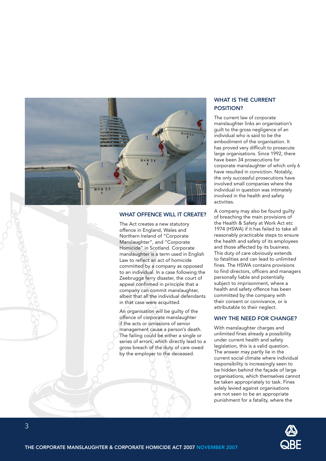

### **WHAT OFFENCE WILL IT CREATE?**

The Act creates a new statutory offence in England, Wales and Northern Ireland of "Corporate Manslaughter", and "Corporate Homicide" in Scotland. Corporate manslaughter is a term used in English Law to reflect an act of homicide committed by a company as opposed to an individual. In a case following the Zeebrugge ferry disaster, the court of appeal confirmed in principle that a company can commit manslaughter, albeit that all the individual defendants in that case were acquitted.

An organisation will be guilty of the offence of corporate manslaughter if the acts or omissions of senior management cause a person's death. The failing could be either a single or series of errors, which directly lead to a gross breach of the duty of care owed by the employer to the deceased.

## **WHAT IS THE CURRENT POSITION?**

The current law of corporate manslaughter links an organisation's guilt to the gross negligence of an individual who is said to be the embodiment of the organisation. It has proved very difficult to prosecute large organisations. Since 1992, there have been 34 prosecutions for corporate manslaughter of which only 6 have resulted in conviction. Notably, the only successful prosecutions have involved small companies where the individual in question was intimately involved in the health and safety activities.

A company may also be found guilty of breaching the main provisions of the Health & Safety at Work Act etc 1974 (HSWA) if it has failed to take all reasonably practicable steps to ensure the health and safety of its employees and those affected by its business. This duty of care obviously extends to fatalities and can lead to unlimited fines. The HSWA contains provisions to find directors, officers and managers personally liable and potentially subject to imprisonment, where a health and safety offence has been committed by the company with their consent or connivance, or is attributable to their neglect.

## **WHY THE NEED FOR CHANGE?**

With manslaughter charges and unlimited fines already a possibility under current health and safety legislation, this is a valid question. The answer may partly lie in the current social climate where individual responsibility is increasingly seen to be hidden behind the façade of large organisations, which themselves cannot be taken appropriately to task. Fines solely levied against organisations are not seen to be an appropriate punishment for a fatality, where the

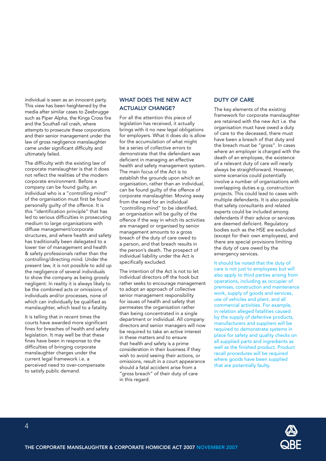individual is seen as an innocent party. This view has been heightened by the media after similar cases to Zeebrugge such as Piper Alpha, the Kings Cross fire and the Southall rail crash, where attempts to prosecute these corporations and their senior management under the law of gross negligence manslaughter came under significant difficulty and ultimately failed.

The difficulty with the existing law of corporate manslaughter is that it does not reflect the realities of the modern corporate environment. Before a company can be found guilty, an individual who is a "controlling mind" of the organisation must first be found personally guilty of the offence. It is this "identification principle" that has led to serious difficulties in prosecuting medium to large organisations with diffuse management/corporate structures, and where health and safety has traditionally been delegated to a lower tier of management and health & safety professionals rather than the controlling/directing mind. Under the present law, it is not possible to add up the negligence of several individuals to show the company as being grossly negligent. In reality it is always likely to be the combined acts or omissions of individuals and/or processes, none of which can individually be qualified as manslaughter, which lead to a fatality.

It is telling that in recent times the courts have awarded more significant fines for breaches of health and safety legislation. It may well be that these fines have been in response to the difficulties of bringing corporate manslaughter charges under the current legal framework i.e. a perceived need to over-compensate to satisfy public demand.

## **WHAT DOES THE NEW ACT ACTUALLY CHANGE?**

For all the attention this piece of legislation has received, it actually brings with it no new legal obligations for employers. What it does do is allow for the accumulation of what might be a series of collective errors to demonstrate that the defendant was deficient in managing an effective health and safety management system. The main focus of the Act is to establish the grounds upon which an organisation, rather than an individual, can be found guilty of the offence of corporate manslaughter. Moving away from the need for an individual "controlling mind" to be identified, an organisation will be guilty of the offence if the way in which its activities are managed or organised by senior management amounts to a gross breach of the duty of care owed to a person, and that breach results in the person's death. The prospect of individual liability under the Act is specifically excluded.

The intention of the Act is not to let individual directors off the hook but rather seeks to encourage management to adopt an approach of collective senior management responsibility for issues of health and safety that permeates the organisation rather than being concentrated in a single department or individual. All company directors and senior managers will now be required to take an active interest in these matters and to ensure that health and safety is a prime consideration in their business if they wish to avoid seeing their actions, or omissions, result in a court appearance should a fatal accident arise from a "gross breach" of their duty of care in this regard.

## **DUTY OF CARE**

The key elements of the existing framework for corporate manslaughter are retained with the new Act i.e. the organisation must have owed a duty of care to the deceased, there must have been a breach of that duty and the breach must be "gross". In cases where an employer is charged with the death of an employee, the existence of a relevant duty of care will nearly always be straightforward. However, some scenarios could potentially involve a number of organisations with overlapping duties e.g. construction projects. This could lead to cases with multiple defendants. It is also possible that safety consultants and related experts could be included among defendants if their advice or services are deemed deficient. Regulatory bodies such as the HSE are excluded (except for their own employees), and there are special provisions limiting the duty of care owed by the emergency services.

It should be noted that the duty of care is not just to employees but will also apply to third parties arising from operations, including as occupier of premises, construction and maintenance work, supply of goods and services, use of vehicles and plant, and all commercial activities. For example, in relation alleged fatalities caused by the supply of defective products, manufacturers and suppliers will be required to demonstrate systems in place for safety and quality checks on all supplied parts and ingredients as well as the finished product. Product recall procedures will be required where goods have been supplied that are potentially faulty.

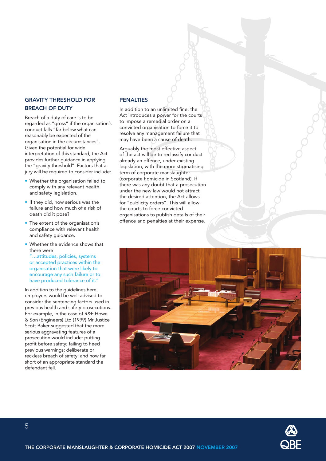## **GRAVITY THRESHOLD FOR BREACH OF DUTY**

Breach of a duty of care is to be regarded as "gross" if the organisation's conduct falls "far below what can reasonably be expected of the organisation in the circumstances". Given the potential for wide interpretation of this standard, the Act provides further guidance in applying the "gravity threshold". Factors that a jury will be required to consider include:

- Whether the organisation failed to comply with any relevant health and safety legislation.
- If they did, how serious was the failure and how much of a risk of death did it pose?
- The extent of the organisation's compliance with relevant health and safety guidance.
- Whether the evidence shows that there were

"…attitudes, policies, systems or accepted practices within the organisation that were likely to encourage any such failure or to have produced tolerance of it."

In addition to the guidelines here, employers would be well advised to consider the sentencing factors used in previous health and safety prosecutions. For example, in the case of R&F Howe & Son (Engineers) Ltd (1999) Mr Justice Scott Baker suggested that the more serious aggravating features of a prosecution would include: putting profit before safety; failing to heed previous warnings; deliberate or reckless breach of safety; and how far short of an appropriate standard the defendant fell.

# **PENALTIES**

In addition to an unlimited fine, the Act introduces a power for the courts to impose a remedial order on a convicted organisation to force it to resolve any management failure that may have been a cause of death.

Arguably the most effective aspect of the act will be to reclassify conduct already an offence, under existing legislation, with the more stigmatising term of corporate manslaughter (corporate homicide in Scotland). If there was any doubt that a prosecution under the new law would not attract the desired attention, the Act allows for "publicity orders". This will allow the courts to force convicted organisations to publish details of their offence and penalties at their expense.



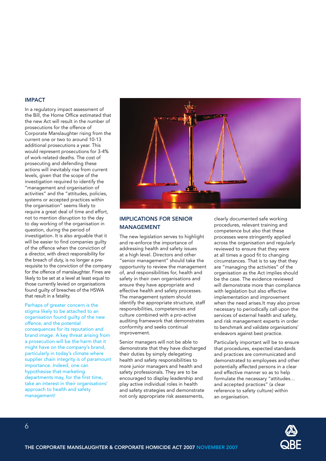#### **IMPACT**

In a regulatory impact assessment of the Bill, the Home Office estimated that the new Act will result in the number of prosecutions for the offence of Corporate Manslaughter rising from the current one or two to around 10-13 additional prosecutions a year. This would represent prosecutions for 3-4% of work-related deaths. The cost of prosecuting and defending these actions will inevitably rise from current levels, given that the scope of the investigation required to identify the "management and organisation of activities" and the "attitudes, policies, systems or accepted practices within the organisation" seems likely to require a great deal of time and effort, not to mention disruption to the day to day working of the organisation in question, during the period of investigation. It is also arguable that it will be easier to find companies quilty of the offence when the conviction of a director, with direct responsibility for the breach of duty, is no longer a prerequisite to the conviction of the company for the offence of manslaughter. Fines are likely to be set at a level at least equal to those currently levied on organisations found guilty of breaches of the HSWA that result in a fatality.

#### Perhaps of greater concern is the

stigma likely to be attached to an organisation found guilty of the new offence, and the potential consequences for its reputation and brand image. A key threat arising from a prosecution will be the harm that it might have on the company's brand, particularly in today's climate where supplier chain integrity is of paramount importance. Indeed, one can hypothesise that marketing departments may, for the first time, take an interest in their organisations' approach to health and safety management!



# **IMPLICATIONS FOR SENIOR MANAGEMENT**

The new legislation serves to highlight and re-enforce the importance of addressing health and safety issues at a high level. Directors and other "senior management" should take the opportunity to review the management of, and responsibilities for, health and safety in their own organisations and ensure they have appropriate and effective health and safety processes. The management system should identify the appropriate structure, staff responsibilities, competencies and culture combined with a pro-active auditing framework that demonstrates conformity and seeks continual improvement.

Senior managers will not be able to demonstrate that they have discharged their duties by simply delegating health and safety responsibilities to more junior managers and health and safety professionals. They are to be encouraged to display leadership and play active individual roles in health and safety strategies and demonstrate not only appropriate risk assessments,

clearly documented safe working procedures, relevant training and competence but also that these processes were stringently applied across the organisation and regularly reviewed to ensure that they were at all times a good fit to changing circumstances. That is to say that they are "managing the activities" of the organisation as the Act implies should be the case. The evidence reviewed will demonstrate more than compliance with legislation but also effective implementation and improvement when the need arises.It may also prove necessary to periodically call upon the services of external health and safety, and risk management experts in order to benchmark and validate organisations' endeavors against best practice.

Particularly important will be to ensure that procedures, expected standards and practices are communicated and demonstrated to employees and other potentially affected persons in a clear and effective manner so as to help formulate the necessary "attitudes… and accepted practices" (a clear reference to safety culture) within an organisation.

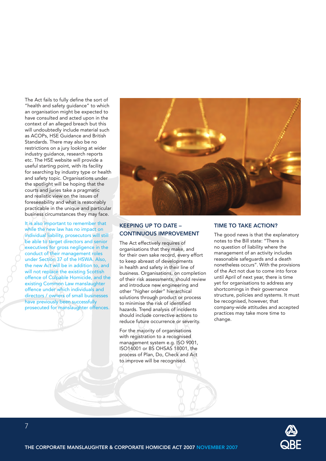The Act fails to fully define the sort of "health and safety guidance" to which an organisation might be expected to have consulted and acted upon in the context of an alleged breach but this will undoubtedly include material such as ACOPs, HSE Guidance and British Standards. There may also be no restrictions on a jury looking at wider industry guidance, research reports etc. The HSE website will provide a useful starting point, with its facility for searching by industry type or health and safety topic. Organisations under the spotlight will be hoping that the courts and juries take a pragmatic and realistic view on the issues of foreseeability and what is reasonably practicable in the unique and particular business circumstances they may face.

It is also important to remember that while the new law has no impact on individual liability, prosecutors will still be able to target directors and senior executives for gross negligence in the conduct of their management roles under Section 37 of the HSWA. Also, the new Act will be in addition to, and will not replace the existing Scottish offence of Culpable Homicide, and the existing Common Law manslaughter offence under which individuals and directors / owners of small businesses have previously been successfully prosecuted for manslaughter offences.



# **KEEPING UP TO DATE – CONTINUOUS IMPROVEMENT**

The Act effectively requires of organisations that they make, and for their own sake record, every effort to keep abreast of developments in health and safety in their line of business. Organisations, on completion of their risk assessments, should review and introduce new engineering and other "higher order" hierarchical solutions through product or process to minimise the risk of identified hazards. Trend analysis of incidents should include corrective actions to reduce future occurrence or severity.

For the majority of organisations with registration to a recognised management system e.g. ISO 9001, ISO14001 or BS OHSAS 18001, the process of Plan, Do, Check and Act to improve will be recognised.

## **TIME TO TAKE ACTION?**

The good news is that the explanatory notes to the Bill state: "There is no question of liability where the management of an activity includes reasonable safeguards and a death nonetheless occurs". With the provisions of the Act not due to come into force until April of next year, there is time yet for organisations to address any shortcomings in their governance structure, policies and systems. It must be recognised, however, that company-wide attitudes and accepted practices may take more time to change.

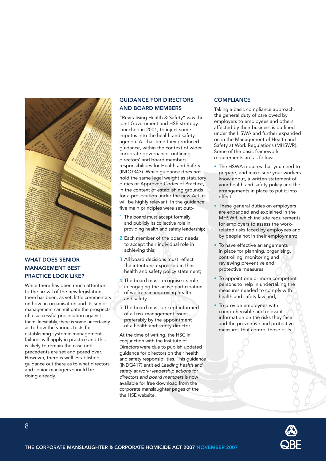

# **WHAT DOES SENIOR MANAGEMENT BEST PRACTICE LOOK LIKE?**

While there has been much attention to the arrival of the new legislation, there has been, as yet, little commentary on how an organisation and its senior management can mitigate the prospects of a successful prosecution against them. Inevitably, there is some uncertainty as to how the various tests for establishing systemic management failures will apply in practice and this is likely to remain the case until precedents are set and pored over. However, there is well established guidance out there as to what directors and senior managers should be doing already.

# **GUIDANCE FOR DIRECTORS AND BOARD MEMBERS**

"Revitalising Health & Safety" was the joint Government and HSE strategy, launched in 2001, to inject some impetus into the health and safety agenda. At that time they produced guidance, within the context of wider corporate governance, outlining directors' and board members' responsibilities for Health and Safety (INDG343). While guidance does not hold the same legal weight as statutory duties or Approved Codes of Practice, in the context of establishing grounds for a prosecution under the new Act, it will be highly relevant. In the guidance, five main principles were set out:-

- 1. The board must accept formally and publicly its collective role in providing health and safety leadership;
- 2.Each member of the board needs to accept their individual role in achieving this;
- 3.All board decisions must reflect the intentions expressed in their health and safety policy statement;
- 4.The board must recognise its role in engaging the active participation of workers in improving health and safety.
- 5.The board must be kept informed of all risk management issues, preferably by the appointment of a health and safety director.

At the time of writing, the HSC in conjunction with the Institute of Directors were due to publish updated guidance for directors on their health and safety responsibilities. This guidance (INDG417) entitled *Leading health and safety at work: leadership actions for directors and board members* is now available for free download from the corporate manslaughter pages of the the HSE website.

## **COMPLIANCE**

Taking a basic compliance approach, the general duty of care owed by employers to employees and others affected by their business is outlined under the HSWA and further expanded on in the Management of Health and Safety at Work Regulations (MHSWR). Some of the basic framework requirements are as follows:-

- The HSWA requires that you need to prepare, and make sure your workers know about, a written statement of your health and safety policy and the arrangements in place to put it into effect.
- These general duties on employers are expanded and explained in the MHSWR, which include requirements for employers to assess the workrelated risks faced by employees and by people not in their employment;
- To have effective arrangements in place for planning, organising, controlling, monitoring and reviewing preventive and protective measures;
- To appoint one or more competent persons to help in undertaking the measures needed to comply with health and safety law and;
- To provide employees with comprehensible and relevant information on the risks they face and the preventive and protective measures that control those risks.



8